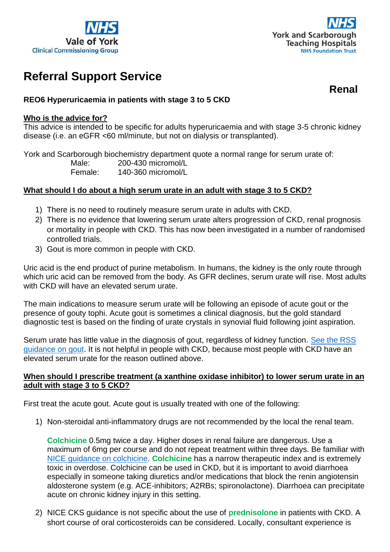



# **Referral Support Service**

**Renal**

## **REO6 Hyperuricaemia in patients with stage 3 to 5 CKD**

#### **Who is the advice for?**

This advice is intended to be specific for adults hyperuricaemia and with stage 3-5 chronic kidney disease (i.e. an eGFR <60 ml/minute, but not on dialysis or transplanted).

York and Scarborough biochemistry department quote a normal range for serum urate of: Male: 200-430 micromol/L Female: 140-360 micromol/L

#### **What should I do about a high serum urate in an adult with stage 3 to 5 CKD?**

- 1) There is no need to routinely measure serum urate in adults with CKD.
- 2) There is no evidence that lowering serum urate alters progression of CKD, renal prognosis or mortality in people with CKD. This has now been investigated in a number of randomised controlled trials.
- 3) Gout is more common in people with CKD.

Uric acid is the end product of purine metabolism. In humans, the kidney is the only route through which uric acid can be removed from the body. As GFR declines, serum urate will rise. Most adults with CKD will have an elevated serum urate.

The main indications to measure serum urate will be following an episode of acute gout or the presence of gouty tophi. Acute gout is sometimes a clinical diagnosis, but the gold standard diagnostic test is based on the finding of urate crystals in synovial fluid following joint aspiration.

Serum urate has little value in the diagnosis of gout, regardless of kidney function. See the RSS [guidance on gout.](https://www.valeofyorkccg.nhs.uk/seecmsfile/?id=5128&inline=1&inline=1&inline=1) It is not helpful in people with CKD, because most people with CKD have an elevated serum urate for the reason outlined above.

### **When should I prescribe treatment (a xanthine oxidase inhibitor) to lower serum urate in an adult with stage 3 to 5 CKD?**

First treat the acute gout. Acute gout is usually treated with one of the following:

1) Non-steroidal anti-inflammatory drugs are not recommended by the local the renal team.

**Colchicine** 0.5mg twice a day. Higher doses in renal failure are dangerous. Use a maximum of 6mg per course and do not repeat treatment within three days. Be familiar with [NICE guidance on colchicine.](https://cks.nice.org.uk/topics/gout/prescribing-information/colchicine/) **Colchicine** has a narrow therapeutic index and is extremely toxic in overdose. Colchicine can be used in CKD, but it is important to avoid diarrhoea especially in someone taking diuretics and/or medications that block the renin angiotensin aldosterone system (e.g. ACE-inhibitors; A2RBs; spironolactone). Diarrhoea can precipitate acute on chronic kidney injury in this setting.

2) NICE CKS guidance is not specific about the use of **prednisolone** in patients with CKD. A short course of oral corticosteroids can be considered. Locally, consultant experience is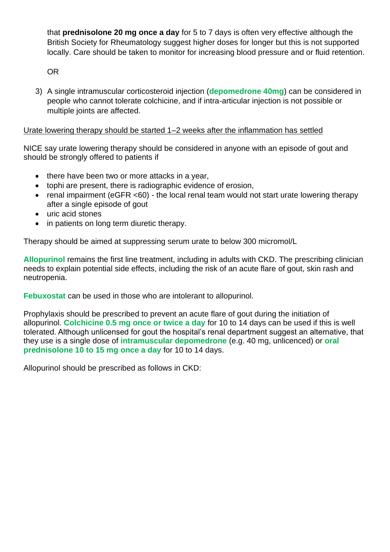that **prednisolone 20 mg once a day** for 5 to 7 days is often very effective although the British Society for Rheumatology suggest higher doses for longer but this is not supported locally. Care should be taken to monitor for increasing blood pressure and or fluid retention.

OR

3) A single intramuscular corticosteroid injection (**depomedrone 40mg**) can be considered in people who cannot tolerate colchicine, and if intra-articular injection is not possible or multiple joints are affected.

## Urate lowering therapy should be started 1–2 weeks after the inflammation has settled

NICE say urate lowering therapy should be considered in anyone with an episode of gout and should be strongly offered to patients if

- there have been two or more attacks in a year,
- tophi are present, there is radiographic evidence of erosion,
- renal impairment (eGFR <60) the local renal team would not start urate lowering therapy after a single episode of gout
- uric acid stones
- in patients on long term diuretic therapy.

Therapy should be aimed at suppressing serum urate to below 300 micromol/L

**Allopurinol** remains the first line treatment, including in adults with CKD. The prescribing clinician needs to explain potential side effects, including the risk of an acute flare of gout, skin rash and neutropenia.

**Febuxostat** can be used in those who are intolerant to allopurinol.

Prophylaxis should be prescribed to prevent an acute flare of gout during the initiation of allopurinol. **Colchicine 0.5 mg once or twice a day** for 10 to 14 days can be used if this is well tolerated. Although unlicensed for gout the hospital's renal department suggest an alternative, that they use is a single dose of **intramuscular depomedrone** (e.g. 40 mg, unlicenced) or **oral prednisolone 10 to 15 mg once a day** for 10 to 14 days.

Allopurinol should be prescribed as follows in CKD: